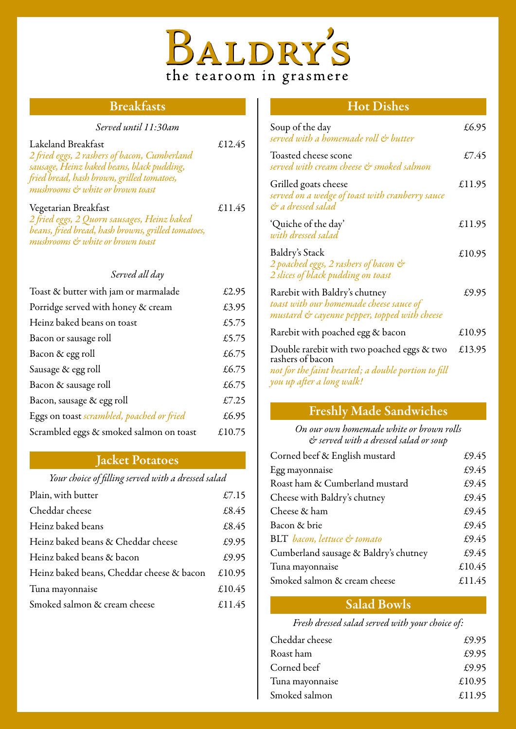

## Breakfasts

*Served until 11:30am* 

| Lakeland Breakfast<br>2 fried eggs, 2 rashers of bacon, Cumberland<br>sausage, Heinz baked beans, black pudding,<br>fried bread, hash brown, grilled tomatoes,<br>mushrooms & white or brown toast | £12.45 |
|----------------------------------------------------------------------------------------------------------------------------------------------------------------------------------------------------|--------|
| Vegetarian Breakfast<br>2 fried eggs, 2 Quorn sausages, Heinz baked<br>beans, fried bread, hash browns, grilled tomatoes,<br>mushrooms & white or brown toast                                      | £11.45 |
| Served all day                                                                                                                                                                                     |        |
| Toast & butter with jam or marmalade                                                                                                                                                               | £2.95  |
| Porridge served with honey & cream                                                                                                                                                                 | £3.95  |
| Heinz baked beans on toast                                                                                                                                                                         | £5.75  |
| Bacon or sausage roll                                                                                                                                                                              | £5.75  |
| Bacon & egg roll                                                                                                                                                                                   | £6.75  |
| Sausage & egg roll                                                                                                                                                                                 | £6.75  |
| Bacon & sausage roll                                                                                                                                                                               | £6.75  |
| Bacon, sausage & egg roll                                                                                                                                                                          | £7.25  |
| Eggs on toast scrambled, poached or fried                                                                                                                                                          | £6.95  |
| Scrambled eggs & smoked salmon on toast                                                                                                                                                            | £10.75 |

### Jacket Potatoes

*Your choice of filling served with a dressed salad*

| Plain, with butter                        | £7.15  |
|-------------------------------------------|--------|
| Cheddar cheese                            | £8.45  |
| Heinz baked beans                         | £8.45  |
| Heinz baked beans & Cheddar cheese        | £9.95  |
| Heinz baked beans & bacon                 | £9.95  |
| Heinz baked beans, Cheddar cheese & bacon | £10.95 |
| Tuna mayonnaise                           | £10.45 |
| Smoked salmon & cream cheese              | £11.45 |
|                                           |        |

## Hot Dishes

| Soup of the day<br>served with a homemade roll & butter                                                                                            | £6.95  |
|----------------------------------------------------------------------------------------------------------------------------------------------------|--------|
| Toasted cheese scone<br>served with cream cheese & smoked salmon                                                                                   | £7.45  |
| Grilled goats cheese<br>served on a wedge of toast with cranberry sauce<br>& a dressed salad                                                       | £11.95 |
| 'Quiche of the day'<br>with dressed salad                                                                                                          | £11.95 |
| Baldry's Stack<br>2 poached eggs, 2 rashers of bacon &<br>2 slices of black pudding on toast                                                       | £10.95 |
| Rarebit with Baldry's chutney<br>toast with our homemade cheese sauce of<br>mustard & cayenne pepper, topped with cheese                           | £9.95  |
| Rarebit with poached egg & bacon                                                                                                                   | £10.95 |
| Double rarebit with two poached eggs & two<br>rashers of bacon<br>not for the faint hearted; a double portion to fill<br>you up after a long walk! | £13.95 |

## Freshly Made Sandwiches

*On our own homemade white or brown rolls & served with a dressed salad or soup*

| Corned beef & English mustard         | £9.45  |
|---------------------------------------|--------|
| Egg mayonnaise                        | £9.45  |
| Roast ham & Cumberland mustard        | £9.45  |
| Cheese with Baldry's chutney          | £9.45  |
| Cheese & ham                          | £9.45  |
| Bacon & brie                          | £9.45  |
| BLT bacon, lettuce & tomato           | £9.45  |
| Cumberland sausage & Baldry's chutney | £9.45  |
| Tuna mayonnaise                       | £10.45 |
| Smoked salmon & cream cheese          | £11.45 |

## Salad Bowls

*Fresh dressed salad served with your choice of:*

| Cheddar cheese  | £9.95  |
|-----------------|--------|
| Roast ham       | £9.95  |
| Corned beef     | £9.95  |
| Tuna mayonnaise | £10.95 |
| Smoked salmon   | £11.95 |